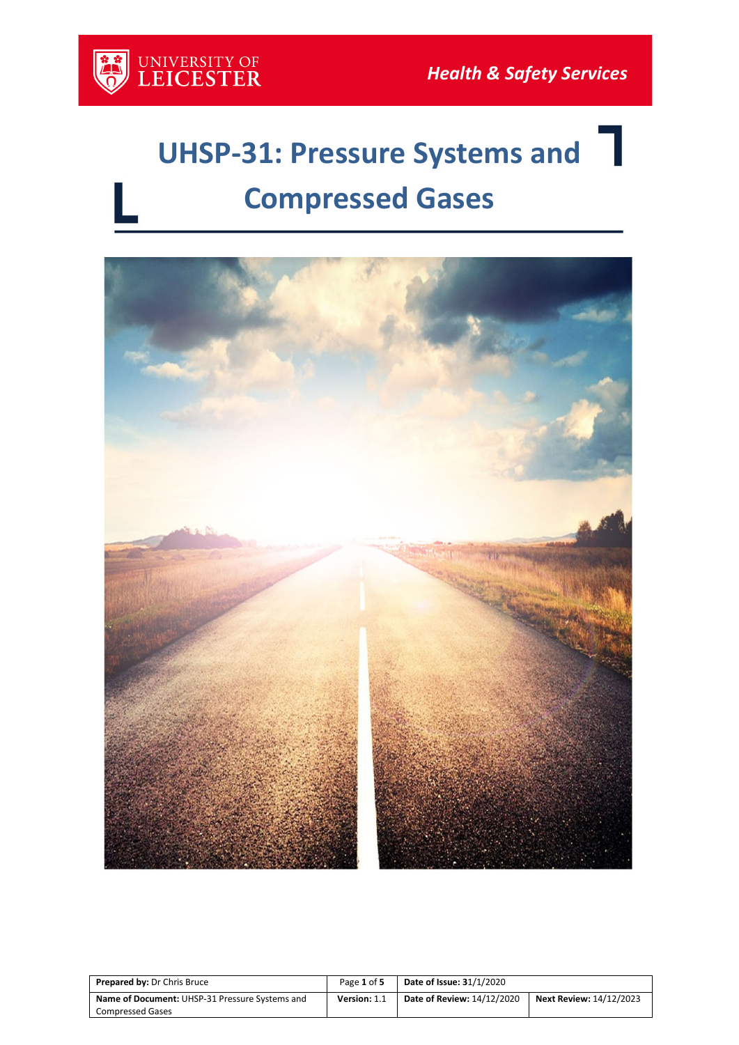

# **UHSP-31: Pressure Systems and Compressed Gases**



| <b>Prepared by: Dr Chris Bruce</b>             | Page 1 of 5  | <b>Date of Issue: 31/1/2020</b>   |                                |
|------------------------------------------------|--------------|-----------------------------------|--------------------------------|
| Name of Document: UHSP-31 Pressure Systems and | Version: 1.1 | <b>Date of Review: 14/12/2020</b> | <b>Next Review: 14/12/2023</b> |
| <b>Compressed Gases</b>                        |              |                                   |                                |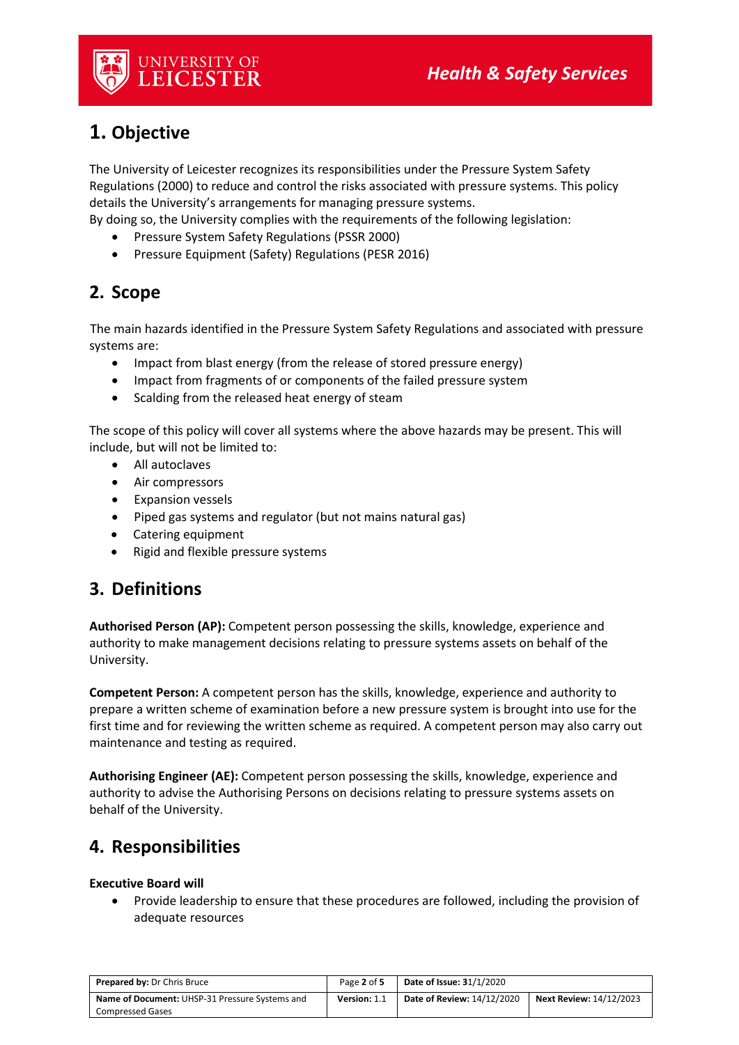

# **1. Objective**

The University of Leicester recognizes its responsibilities under the Pressure System Safety Regulations (2000) to reduce and control the risks associated with pressure systems. This policy details the University's arrangements for managing pressure systems.

By doing so, the University complies with the requirements of the following legislation:

- Pressure System Safety Regulations (PSSR 2000)
- Pressure Equipment (Safety) Regulations (PESR 2016)

# **2. Scope**

The main hazards identified in the Pressure System Safety Regulations and associated with pressure systems are:

- Impact from blast energy (from the release of stored pressure energy)
- Impact from fragments of or components of the failed pressure system
- Scalding from the released heat energy of steam

The scope of this policy will cover all systems where the above hazards may be present. This will include, but will not be limited to:

- All autoclaves
- Air compressors
- Expansion vessels
- Piped gas systems and regulator (but not mains natural gas)
- Catering equipment
- Rigid and flexible pressure systems

# **3. Definitions**

**Authorised Person (AP):** Competent person possessing the skills, knowledge, experience and authority to make management decisions relating to pressure systems assets on behalf of the University.

**Competent Person:** A competent person has the skills, knowledge, experience and authority to prepare a written scheme of examination before a new pressure system is brought into use for the first time and for reviewing the written scheme as required. A competent person may also carry out maintenance and testing as required.

**Authorising Engineer (AE):** Competent person possessing the skills, knowledge, experience and authority to advise the Authorising Persons on decisions relating to pressure systems assets on behalf of the University.

# **4. Responsibilities**

## **Executive Board will**

• Provide leadership to ensure that these procedures are followed, including the provision of adequate resources

| <b>Prepared by: Dr Chris Bruce</b>                    | Page 2 of 5         | <b>Date of Issue: 31/1/2020</b> |                                |
|-------------------------------------------------------|---------------------|---------------------------------|--------------------------------|
| <b>Name of Document:</b> UHSP-31 Pressure Systems and | <b>Version: 1.1</b> | Date of Review: 14/12/2020      | <b>Next Review: 14/12/2023</b> |
| <b>Compressed Gases</b>                               |                     |                                 |                                |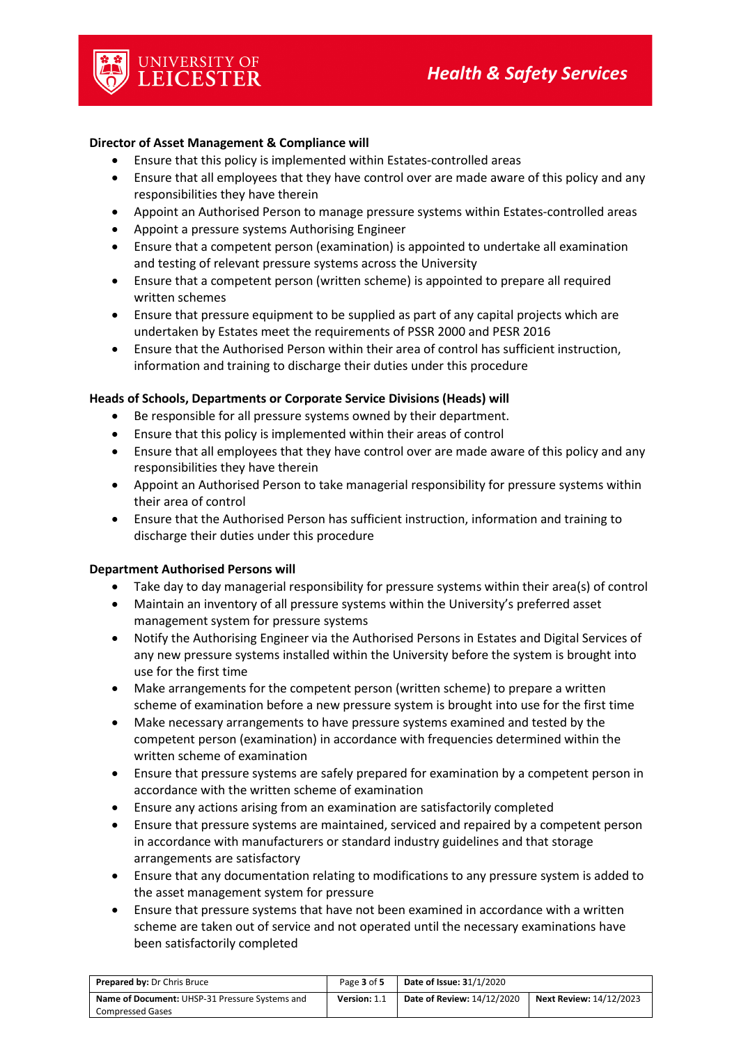### **Director of Asset Management & Compliance will**

UNIVERSITY OF<br>**LEICESTER** 

- Ensure that this policy is implemented within Estates-controlled areas
- Ensure that all employees that they have control over are made aware of this policy and any responsibilities they have therein
- Appoint an Authorised Person to manage pressure systems within Estates-controlled areas
- Appoint a pressure systems Authorising Engineer
- Ensure that a competent person (examination) is appointed to undertake all examination and testing of relevant pressure systems across the University
- Ensure that a competent person (written scheme) is appointed to prepare all required written schemes
- Ensure that pressure equipment to be supplied as part of any capital projects which are undertaken by Estates meet the requirements of PSSR 2000 and PESR 2016
- Ensure that the Authorised Person within their area of control has sufficient instruction, information and training to discharge their duties under this procedure

#### **Heads of Schools, Departments or Corporate Service Divisions (Heads) will**

- Be responsible for all pressure systems owned by their department.
- Ensure that this policy is implemented within their areas of control
- Ensure that all employees that they have control over are made aware of this policy and any responsibilities they have therein
- Appoint an Authorised Person to take managerial responsibility for pressure systems within their area of control
- Ensure that the Authorised Person has sufficient instruction, information and training to discharge their duties under this procedure

#### **Department Authorised Persons will**

- Take day to day managerial responsibility for pressure systems within their area(s) of control
- Maintain an inventory of all pressure systems within the University's preferred asset management system for pressure systems
- Notify the Authorising Engineer via the Authorised Persons in Estates and Digital Services of any new pressure systems installed within the University before the system is brought into use for the first time
- Make arrangements for the competent person (written scheme) to prepare a written scheme of examination before a new pressure system is brought into use for the first time
- Make necessary arrangements to have pressure systems examined and tested by the competent person (examination) in accordance with frequencies determined within the written scheme of examination
- Ensure that pressure systems are safely prepared for examination by a competent person in accordance with the written scheme of examination
- Ensure any actions arising from an examination are satisfactorily completed
- Ensure that pressure systems are maintained, serviced and repaired by a competent person in accordance with manufacturers or standard industry guidelines and that storage arrangements are satisfactory
- Ensure that any documentation relating to modifications to any pressure system is added to the asset management system for pressure
- Ensure that pressure systems that have not been examined in accordance with a written scheme are taken out of service and not operated until the necessary examinations have been satisfactorily completed

| <b>Prepared by: Dr Chris Bruce</b>                    | Page 3 of 5  | <b>Date of Issue: 31/1/2020</b>   |                         |
|-------------------------------------------------------|--------------|-----------------------------------|-------------------------|
| <b>Name of Document:</b> UHSP-31 Pressure Systems and | Version: 1.1 | <b>Date of Review: 14/12/2020</b> | Next Review: 14/12/2023 |
| <b>Compressed Gases</b>                               |              |                                   |                         |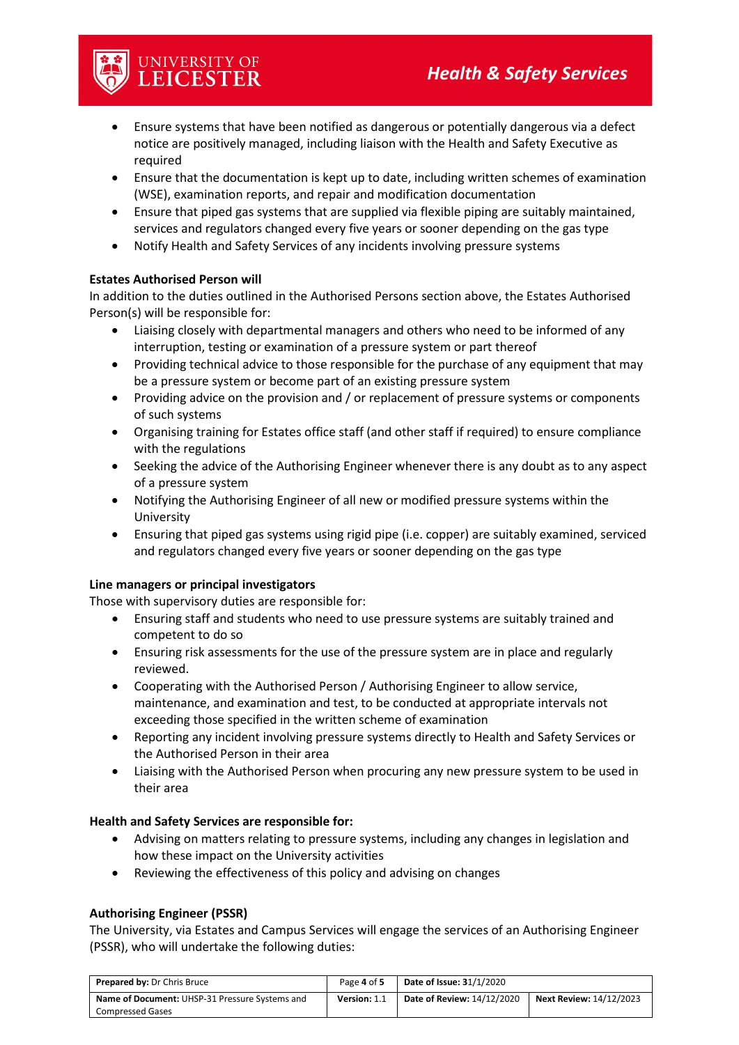

## • Ensure systems that have been notified as dangerous or potentially dangerous via a defect notice are positively managed, including liaison with the Health and Safety Executive as required

- Ensure that the documentation is kept up to date, including written schemes of examination (WSE), examination reports, and repair and modification documentation
- Ensure that piped gas systems that are supplied via flexible piping are suitably maintained, services and regulators changed every five years or sooner depending on the gas type
- Notify Health and Safety Services of any incidents involving pressure systems

## **Estates Authorised Person will**

In addition to the duties outlined in the Authorised Persons section above, the Estates Authorised Person(s) will be responsible for:

- Liaising closely with departmental managers and others who need to be informed of any interruption, testing or examination of a pressure system or part thereof
- Providing technical advice to those responsible for the purchase of any equipment that may be a pressure system or become part of an existing pressure system
- Providing advice on the provision and / or replacement of pressure systems or components of such systems
- Organising training for Estates office staff (and other staff if required) to ensure compliance with the regulations
- Seeking the advice of the Authorising Engineer whenever there is any doubt as to any aspect of a pressure system
- Notifying the Authorising Engineer of all new or modified pressure systems within the University
- Ensuring that piped gas systems using rigid pipe (i.e. copper) are suitably examined, serviced and regulators changed every five years or sooner depending on the gas type

## **Line managers or principal investigators**

Those with supervisory duties are responsible for:

- Ensuring staff and students who need to use pressure systems are suitably trained and competent to do so
- Ensuring risk assessments for the use of the pressure system are in place and regularly reviewed.
- Cooperating with the Authorised Person / Authorising Engineer to allow service, maintenance, and examination and test, to be conducted at appropriate intervals not exceeding those specified in the written scheme of examination
- Reporting any incident involving pressure systems directly to Health and Safety Services or the Authorised Person in their area
- Liaising with the Authorised Person when procuring any new pressure system to be used in their area

## **Health and Safety Services are responsible for:**

- Advising on matters relating to pressure systems, including any changes in legislation and how these impact on the University activities
- Reviewing the effectiveness of this policy and advising on changes

## **Authorising Engineer (PSSR)**

The University, via Estates and Campus Services will engage the services of an Authorising Engineer (PSSR), who will undertake the following duties:

| <b>Prepared by: Dr Chris Bruce</b>             | Page 4 of 5  | <b>Date of Issue: 31/1/2020</b> |                                |
|------------------------------------------------|--------------|---------------------------------|--------------------------------|
| Name of Document: UHSP-31 Pressure Systems and | Version: 1.1 | Date of Review: 14/12/2020      | <b>Next Review: 14/12/2023</b> |
| <b>Compressed Gases</b>                        |              |                                 |                                |